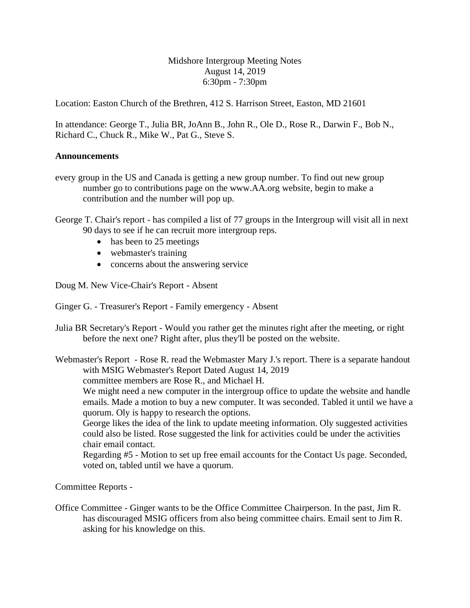Midshore Intergroup Meeting Notes August 14, 2019 6:30pm - 7:30pm

Location: Easton Church of the Brethren, 412 S. Harrison Street, Easton, MD 21601

In attendance: George T., Julia BR, JoAnn B., John R., Ole D., Rose R., Darwin F., Bob N., Richard C., Chuck R., Mike W., Pat G., Steve S.

## **Announcements**

- every group in the US and Canada is getting a new group number. To find out new group number go to contributions page on the www.AA.org website, begin to make a contribution and the number will pop up.
- George T. Chair's report has compiled a list of 77 groups in the Intergroup will visit all in next 90 days to see if he can recruit more intergroup reps.
	- has been to 25 meetings
	- webmaster's training
	- concerns about the answering service

Doug M. New Vice-Chair's Report - Absent

Ginger G. - Treasurer's Report - Family emergency - Absent

Julia BR Secretary's Report - Would you rather get the minutes right after the meeting, or right before the next one? Right after, plus they'll be posted on the website.

Webmaster's Report - Rose R. read the Webmaster Mary J.'s report. There is a separate handout with MSIG Webmaster's Report Dated August 14, 2019

committee members are Rose R., and Michael H.

We might need a new computer in the intergroup office to update the website and handle emails. Made a motion to buy a new computer. It was seconded. Tabled it until we have a quorum. Oly is happy to research the options.

George likes the idea of the link to update meeting information. Oly suggested activities could also be listed. Rose suggested the link for activities could be under the activities chair email contact.

Regarding #5 - Motion to set up free email accounts for the Contact Us page. Seconded, voted on, tabled until we have a quorum.

Committee Reports -

Office Committee - Ginger wants to be the Office Committee Chairperson. In the past, Jim R. has discouraged MSIG officers from also being committee chairs. Email sent to Jim R. asking for his knowledge on this.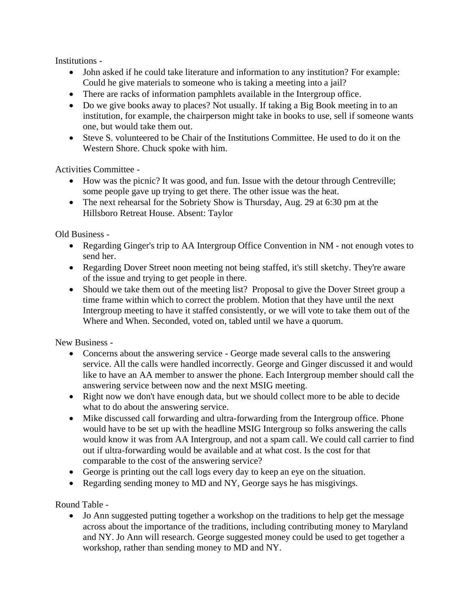Institutions -

- John asked if he could take literature and information to any institution? For example: Could he give materials to someone who is taking a meeting into a jail?
- There are racks of information pamphlets available in the Intergroup office.
- Do we give books away to places? Not usually. If taking a Big Book meeting in to an institution, for example, the chairperson might take in books to use, sell if someone wants one, but would take them out.
- Steve S, volunteered to be Chair of the Institutions Committee. He used to do it on the Western Shore. Chuck spoke with him.

Activities Committee -

- How was the picnic? It was good, and fun. Issue with the detour through Centreville; some people gave up trying to get there. The other issue was the heat.
- The next rehearsal for the Sobriety Show is Thursday, Aug. 29 at 6:30 pm at the Hillsboro Retreat House. Absent: Taylor

Old Business -

- Regarding Ginger's trip to AA Intergroup Office Convention in NM not enough votes to send her.
- Regarding Dover Street noon meeting not being staffed, it's still sketchy. They're aware of the issue and trying to get people in there.
- Should we take them out of the meeting list? Proposal to give the Dover Street group a time frame within which to correct the problem. Motion that they have until the next Intergroup meeting to have it staffed consistently, or we will vote to take them out of the Where and When. Seconded, voted on, tabled until we have a quorum.

New Business -

- Concerns about the answering service George made several calls to the answering service. All the calls were handled incorrectly. George and Ginger discussed it and would like to have an AA member to answer the phone. Each Intergroup member should call the answering service between now and the next MSIG meeting.
- Right now we don't have enough data, but we should collect more to be able to decide what to do about the answering service.
- Mike discussed call forwarding and ultra-forwarding from the Intergroup office. Phone would have to be set up with the headline MSIG Intergroup so folks answering the calls would know it was from AA Intergroup, and not a spam call. We could call carrier to find out if ultra-forwarding would be available and at what cost. Is the cost for that comparable to the cost of the answering service?
- George is printing out the call logs every day to keep an eye on the situation.
- Regarding sending money to MD and NY, George says he has misgivings.

Round Table -

• Jo Ann suggested putting together a workshop on the traditions to help get the message across about the importance of the traditions, including contributing money to Maryland and NY. Jo Ann will research. George suggested money could be used to get together a workshop, rather than sending money to MD and NY.